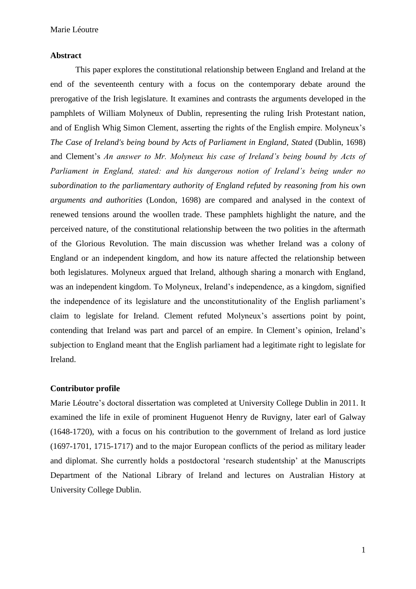#### **Abstract**

This paper explores the constitutional relationship between England and Ireland at the end of the seventeenth century with a focus on the contemporary debate around the prerogative of the Irish legislature. It examines and contrasts the arguments developed in the pamphlets of William Molyneux of Dublin, representing the ruling Irish Protestant nation, and of English Whig Simon Clement, asserting the rights of the English empire. Molyneux's *The Case of Ireland's being bound by Acts of Parliament in England, Stated (Dublin, 1698)* and Clement's *An answer to Mr. Molyneux his case of Ireland's being bound by Acts of Parliament in England, stated: and his dangerous notion of Ireland's being under no subordination to the parliamentary authority of England refuted by reasoning from his own arguments and authorities* (London, 1698) are compared and analysed in the context of renewed tensions around the woollen trade. These pamphlets highlight the nature, and the perceived nature, of the constitutional relationship between the two polities in the aftermath of the Glorious Revolution. The main discussion was whether Ireland was a colony of England or an independent kingdom, and how its nature affected the relationship between both legislatures. Molyneux argued that Ireland, although sharing a monarch with England, was an independent kingdom. To Molyneux, Ireland's independence, as a kingdom, signified the independence of its legislature and the unconstitutionality of the English parliament's claim to legislate for Ireland. Clement refuted Molyneux's assertions point by point, contending that Ireland was part and parcel of an empire. In Clement's opinion, Ireland's subjection to England meant that the English parliament had a legitimate right to legislate for Ireland.

### **Contributor profile**

Marie Léoutre's doctoral dissertation was completed at University College Dublin in 2011. It examined the life in exile of prominent Huguenot Henry de Ruvigny, later earl of Galway (1648-1720), with a focus on his contribution to the government of Ireland as lord justice (1697-1701, 1715-1717) and to the major European conflicts of the period as military leader and diplomat. She currently holds a postdoctoral 'research studentship' at the Manuscripts Department of the National Library of Ireland and lectures on Australian History at University College Dublin.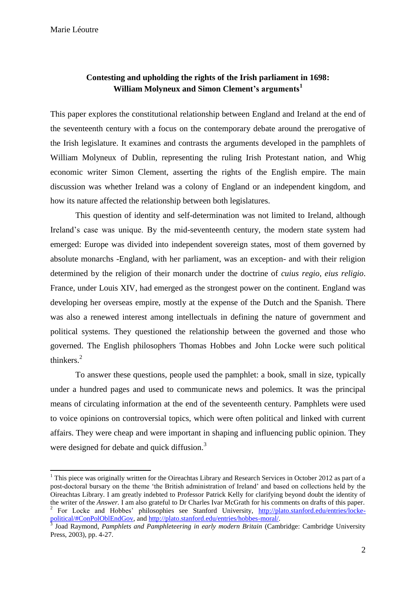**.** 

# **Contesting and upholding the rights of the Irish parliament in 1698: William Molyneux and Simon Clement's arguments<sup>1</sup>**

This paper explores the constitutional relationship between England and Ireland at the end of the seventeenth century with a focus on the contemporary debate around the prerogative of the Irish legislature. It examines and contrasts the arguments developed in the pamphlets of William Molyneux of Dublin, representing the ruling Irish Protestant nation, and Whig economic writer Simon Clement, asserting the rights of the English empire. The main discussion was whether Ireland was a colony of England or an independent kingdom, and how its nature affected the relationship between both legislatures.

This question of identity and self-determination was not limited to Ireland, although Ireland's case was unique. By the mid-seventeenth century, the modern state system had emerged: Europe was divided into independent sovereign states, most of them governed by absolute monarchs -England, with her parliament, was an exception- and with their religion determined by the religion of their monarch under the doctrine of *cuius regio, eius religio*. France, under Louis XIV, had emerged as the strongest power on the continent. England was developing her overseas empire, mostly at the expense of the Dutch and the Spanish. There was also a renewed interest among intellectuals in defining the nature of government and political systems. They questioned the relationship between the governed and those who governed. The English philosophers Thomas Hobbes and John Locke were such political thinkers.<sup>2</sup>

To answer these questions, people used the pamphlet: a book, small in size, typically under a hundred pages and used to communicate news and polemics. It was the principal means of circulating information at the end of the seventeenth century. Pamphlets were used to voice opinions on controversial topics, which were often political and linked with current affairs. They were cheap and were important in shaping and influencing public opinion. They were designed for debate and quick diffusion.<sup>3</sup>

<sup>&</sup>lt;sup>1</sup> This piece was originally written for the Oireachtas Library and Research Services in October 2012 as part of a post-doctoral bursary on the theme 'the British administration of Ireland' and based on collections held by the Oireachtas Library. I am greatly indebted to Professor Patrick Kelly for clarifying beyond doubt the identity of the writer of the *Answer.* I am also grateful to Dr Charles Ivar McGrath for his comments on drafts of this paper. <sup>2</sup> For Locke and Hobbes' philosophies see Stanford University, [http://plato.stanford.edu/entries/locke](http://plato.stanford.edu/entries/locke-political/#ConPolOblEndGov)[political/#ConPolOblEndGov,](http://plato.stanford.edu/entries/locke-political/#ConPolOblEndGov) and [http://plato.stanford.edu/entries/hobbes-moral/.](http://plato.stanford.edu/entries/hobbes-moral/)<br>3 Joed Baymond, Bayphlets and Bayphletsening in early modern Britain (Com

Joad Raymond, *Pamphlets and Pamphleteering in early modern Britain* (Cambridge: Cambridge University Press, 2003), pp. 4-27.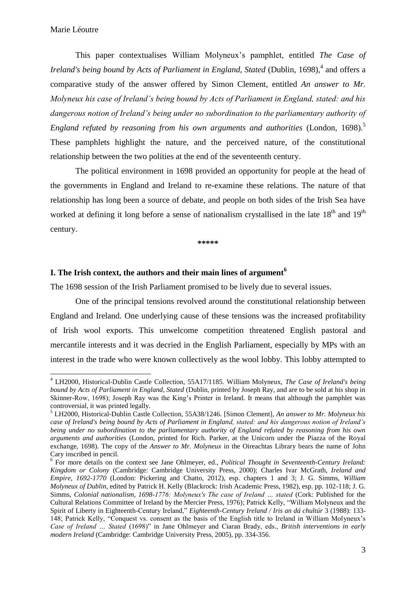**.** 

This paper contextualises William Molyneux's pamphlet, entitled *The Case of*  Ireland's being bound by Acts of Parliament in England, Stated (Dublin, 1698),<sup>4</sup> and offers a comparative study of the answer offered by Simon Clement, entitled *An answer to Mr. Molyneux his case of Ireland's being bound by Acts of Parliament in England, stated: and his dangerous notion of Ireland's being under no subordination to the parliamentary authority of England refuted by reasoning from his own arguments and authorities (London, 1698).*<sup>5</sup> These pamphlets highlight the nature, and the perceived nature, of the constitutional relationship between the two polities at the end of the seventeenth century.

The political environment in 1698 provided an opportunity for people at the head of the governments in England and Ireland to re-examine these relations. The nature of that relationship has long been a source of debate, and people on both sides of the Irish Sea have worked at defining it long before a sense of nationalism crystallised in the late  $18<sup>th</sup>$  and  $19<sup>th</sup>$ century.

**\*\*\*\*\***

### **I. The Irish context, the authors and their main lines of argument<sup>6</sup>**

The 1698 session of the Irish Parliament promised to be lively due to several issues.

One of the principal tensions revolved around the constitutional relationship between England and Ireland. One underlying cause of these tensions was the increased profitability of Irish wool exports. This unwelcome competition threatened English pastoral and mercantile interests and it was decried in the English Parliament, especially by MPs with an interest in the trade who were known collectively as the wool lobby. This lobby attempted to

<sup>4</sup> LH2000, Historical-Dublin Castle Collection, 55A17/1185. William Molyneux, *The Case of Ireland's being bound by Acts of Parliament in England, Stated* (Dublin, printed by Joseph Ray, and are to be sold at his shop in Skinner-Row, 1698); Joseph Ray was the King's Printer in Ireland. It means that although the pamphlet was controversial, it was printed legally.

<sup>5</sup> LH2000, Historical-Dublin Castle Collection, 55A38/1246. [Simon Clement], *An answer to Mr. Molyneux his case of Ireland's being bound by Acts of Parliament in England, stated: and his dangerous notion of Ireland's being under no subordination to the parliamentary authority of England refuted by reasoning from his own arguments and authorities* (London, printed for Rich. Parker, at the Unicorn under the Piazza of the Royal exchange, 1698). The copy of the *Answer to Mr. Molyneux* in the Oireachtas Library bears the name of John Cary inscribed in pencil.

<sup>6</sup> For more details on the context see Jane Ohlmeyer, ed., *Political Thought in Seventeenth-Century Ireland: Kingdom or Colony* (Cambridge: Cambridge University Press, 2000); Charles Ivar McGrath, *Ireland and Empire, 1692-1770* (London: Pickering and Chatto, 2012), esp. chapters 1 and 3; J. G. Simms, *William Molyneux of Dublin*, edited by Patrick H. Kelly (Blackrock: Irish Academic Press, 1982), esp. pp. 102-118; J. G. Simms, *Colonial nationalism, 1698-1776: Molyneux's The case of Ireland … stated* (Cork: Published for the Cultural Relations Committee of Ireland by the Mercier Press, 1976); Patrick Kelly, "William Molyneux and the Spirit of Liberty in Eighteenth-Century Ireland," *Eighteenth-Century Ireland / Iris an dá chultúr* 3 (1988): 133- 148; Patrick Kelly, "Conquest vs. consent as the basis of the English title to Ireland in William Molyneux's *Case of Ireland … Stated* (1698)" in Jane Ohlmeyer and Ciaran Brady, eds., *British interventions in early modern Ireland* (Cambridge: Cambridge University Press, 2005), pp. 334-356.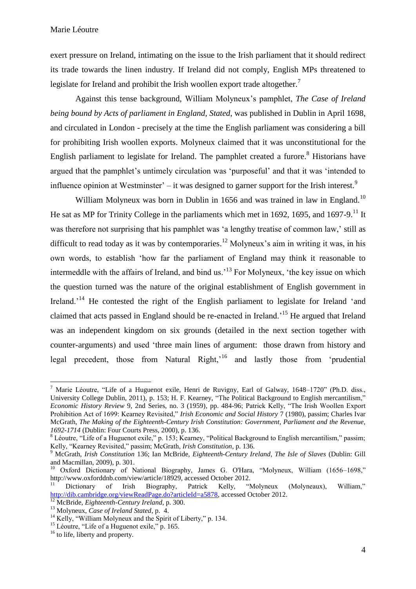exert pressure on Ireland, intimating on the issue to the Irish parliament that it should redirect its trade towards the linen industry. If Ireland did not comply, English MPs threatened to legislate for Ireland and prohibit the Irish woollen export trade altogether.<sup>7</sup>

Against this tense background, William Molyneux's pamphlet, *The Case of Ireland being bound by Acts of parliament in England, Stated*, was published in Dublin in April 1698, and circulated in London - precisely at the time the English parliament was considering a bill for prohibiting Irish woollen exports. Molyneux claimed that it was unconstitutional for the English parliament to legislate for Ireland. The pamphlet created a furore.<sup>8</sup> Historians have argued that the pamphlet's untimely circulation was 'purposeful' and that it was 'intended to influence opinion at Westminster' – it was designed to garner support for the Irish interest.<sup>9</sup>

William Molyneux was born in Dublin in 1656 and was trained in law in England.<sup>10</sup> He sat as MP for Trinity College in the parliaments which met in 1692, 1695, and 1697-9.<sup>11</sup> It was therefore not surprising that his pamphlet was 'a lengthy treatise of common law,' still as difficult to read today as it was by contemporaries.<sup>12</sup> Molyneux's aim in writing it was, in his own words, to establish 'how far the parliament of England may think it reasonable to intermeddle with the affairs of Ireland, and bind us.<sup>13</sup> For Molyneux, 'the key issue on which the question turned was the nature of the original establishment of English government in Ireland.<sup>'14</sup> He contested the right of the English parliament to legislate for Ireland 'and claimed that acts passed in England should be re-enacted in Ireland.'<sup>15</sup> He argued that Ireland was an independent kingdom on six grounds (detailed in the next section together with counter-arguments) and used 'three main lines of argument: those drawn from history and legal precedent, those from Natural Right,'<sup>16</sup> and lastly those from 'prudential

 $\overline{a}$ 

<sup>&</sup>lt;sup>7</sup> Marie Léoutre, "Life of a Huguenot exile, Henri de Ruvigny, Earl of Galway, 1648–1720" (Ph.D. diss., University College Dublin, 2011), p. 153; H. F. Kearney, "The Political Background to English mercantilism," *Economic History Review* 9, 2nd Series, no. 3 (1959), pp. 484-96; Patrick Kelly, "The Irish Woollen Export Prohibition Act of 1699: Kearney Revisited," *Irish Economic and Social History* 7 (1980), passim; Charles Ivar McGrath, *The Making of the Eighteenth-Century Irish Constitution: Government, Parliament and the Revenue,* 

*<sup>1692-1714</sup>* (Dublin: Four Courts Press, 2000), p. 136.

<sup>&</sup>lt;sup>8</sup> Léoutre, "Life of a Huguenot exile," p. 153; Kearney, "Political Background to English mercantilism," passim; Kelly, "Kearney Revisited," passim; McGrath, *Irish Constitution*, p. 136.

<sup>9</sup> McGrath, *Irish Constitution* 136; Ian McBride, *Eighteenth-Century Ireland, The Isle of Slaves* (Dublin: Gill and Macmillan, 2009), p. 301.

<sup>&</sup>lt;sup>10</sup> Oxford Dictionary of National Biography, James G. O'Hara, "Molyneux, William (1656–1698," http://www.oxforddnb.com/view/article/18929, accessed October 2012.

Dictionary of Irish Biography, Patrick Kelly, "Molyneux (Molyneaux), William," [http://dib.cambridge.org/viewReadPage.do?articleId=a5878,](http://dib.cambridge.org/viewReadPage.do?articleId=a5878) accessed October 2012.

<sup>12</sup> McBride, *Eighteenth-Century Ireland*, p. 300.

<sup>13</sup> Molyneux, *Case of Ireland Stated*, p. 4.

<sup>&</sup>lt;sup>14</sup> Kelly, "William Molyneux and the Spirit of Liberty," p. 134.

 $15$  Léoutre, "Life of a Huguenot exile," p. 165.

<sup>&</sup>lt;sup>16</sup> to life, liberty and property.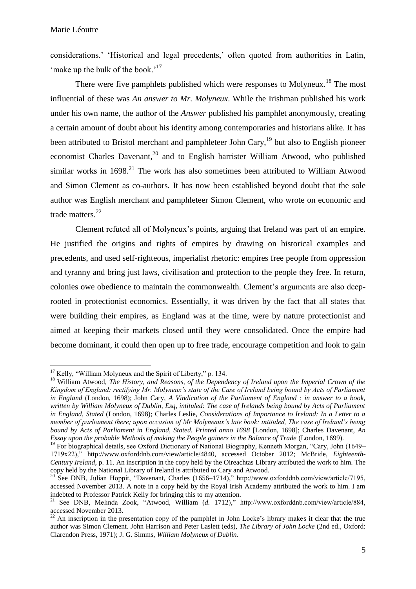considerations.' 'Historical and legal precedents,' often quoted from authorities in Latin, 'make up the bulk of the book.'<sup>17</sup>

There were five pamphlets published which were responses to Molyneux.<sup>18</sup> The most influential of these was *An answer to Mr. Molyneux*. While the Irishman published his work under his own name, the author of the *Answer* published his pamphlet anonymously, creating a certain amount of doubt about his identity among contemporaries and historians alike. It has been attributed to Bristol merchant and pamphleteer John Cary,  $^{19}$  but also to English pioneer economist Charles Davenant,<sup>20</sup> and to English barrister William Atwood, who published similar works in 1698.<sup>21</sup> The work has also sometimes been attributed to William Atwood and Simon Clement as co-authors. It has now been established beyond doubt that the sole author was English merchant and pamphleteer Simon Clement, who wrote on economic and trade matters. 22

Clement refuted all of Molyneux's points, arguing that Ireland was part of an empire. He justified the origins and rights of empires by drawing on historical examples and precedents, and used self-righteous, imperialist rhetoric: empires free people from oppression and tyranny and bring just laws, civilisation and protection to the people they free. In return, colonies owe obedience to maintain the commonwealth. Clement's arguments are also deeprooted in protectionist economics. Essentially, it was driven by the fact that all states that were building their empires, as England was at the time, were by nature protectionist and aimed at keeping their markets closed until they were consolidated. Once the empire had become dominant, it could then open up to free trade, encourage competition and look to gain

1

 $17$  Kelly, "William Molyneux and the Spirit of Liberty," p. 134.

<sup>18</sup> William Atwood, *The History, and Reasons, of the Dependency of Ireland upon the Imperial Crown of the Kingdom of England: rectifying Mr. Molyneux's state of the Case of Ireland being bound by Acts of Parliament in England* (London, 1698); John Cary, *A Vindication of the Parliament of England : in answer to a book, written by William Molyneux of Dublin, Esq, intituled: The case of Irelands being bound by Acts of Parliament in England, Stated* (London, 1698); Charles Leslie, *Considerations of Importance to Ireland: In a Letter to a member of parliament there; upon occasion of Mr Molyneaux's late book: intituled, The case of Ireland's being bound by Acts of Parliament in England, Stated. Printed anno 1698* [London, 1698]; Charles Davenant, *An Essay upon the probable Methods of making the People gainers in the Balance of Trade (London, 1699).* 

<sup>&</sup>lt;sup>19</sup> For biographical details, see Oxford Dictionary of National Biography, Kenneth Morgan, "Cary, John (1649– 1719x22)," http://www.oxforddnb.com/view/article/4840, accessed October 2012; McBride, *Eighteenth-Century Ireland*, p. 11. An inscription in the copy held by the Oireachtas Library attributed the work to him. The copy held by the National Library of Ireland is attributed to Cary and Atwood.

<sup>&</sup>lt;sup>20</sup> See DNB, Julian Hoppit, "Davenant, Charles (1656–1714)," http://www.oxforddnb.com/view/article/7195, accessed November 2013. A note in a copy held by the Royal Irish Academy attributed the work to him. I am indebted to Professor Patrick Kelly for bringing this to my attention.

<sup>21</sup> See DNB, Melinda Zook, "Atwood, William (*d.* 1712)," http://www.oxforddnb.com/view/article/884, accessed November 2013.

 $22$  An inscription in the presentation copy of the pamphlet in John Locke's library makes it clear that the true author was Simon Clement. John Harrison and Peter Laslett (eds), *The Library of John Locke* (2nd ed., Oxford: Clarendon Press, 1971); J. G. Simms, *William Molyneux of Dublin*.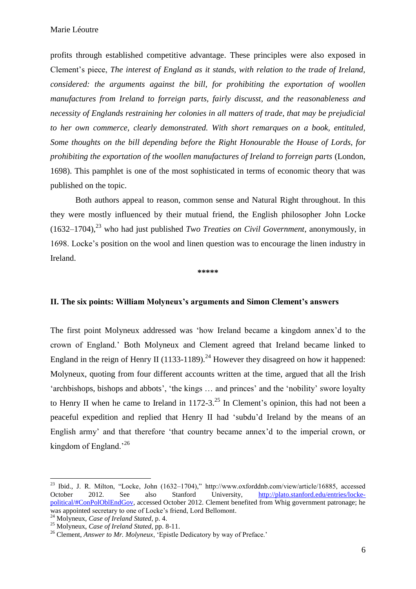profits through established competitive advantage. These principles were also exposed in Clement's piece, *The interest of England as it stands, with relation to the trade of Ireland, considered: the arguments against the bill, for prohibiting the exportation of woollen manufactures from Ireland to forreign parts, fairly discusst, and the reasonableness and necessity of Englands restraining her colonies in all matters of trade, that may be prejudicial to her own commerce, clearly demonstrated. With short remarques on a book, entituled, Some thoughts on the bill depending before the Right Honourable the House of Lords, for prohibiting the exportation of the woollen manufactures of Ireland to forreign parts* (London, 1698). This pamphlet is one of the most sophisticated in terms of economic theory that was published on the topic.

Both authors appeal to reason, common sense and Natural Right throughout. In this they were mostly influenced by their mutual friend, the English philosopher John Locke (1632–1704), <sup>23</sup> who had just published *Two Treaties on Civil Government*, anonymously, in 1698. Locke's position on the wool and linen question was to encourage the linen industry in Ireland.

**\*\*\*\*\***

#### **II. The six points: William Molyneux's arguments and Simon Clement's answers**

The first point Molyneux addressed was 'how Ireland became a kingdom annex'd to the crown of England.' Both Molyneux and Clement agreed that Ireland became linked to England in the reign of Henry II (1133-1189).<sup>24</sup> However they disagreed on how it happened: Molyneux, quoting from four different accounts written at the time, argued that all the Irish 'archbishops, bishops and abbots', 'the kings … and princes' and the 'nobility' swore loyalty to Henry II when he came to Ireland in 1172-3.<sup>25</sup> In Clement's opinion, this had not been a peaceful expedition and replied that Henry II had 'subdu'd Ireland by the means of an English army' and that therefore 'that country became annex'd to the imperial crown, or kingdom of England.'<sup>26</sup>

<sup>&</sup>lt;sup>23</sup> Ibid., J. R. Milton, "Locke, John (1632–1704)," http://www.oxforddnb.com/view/article/16885, accessed October 2012. See also Stanford University, [http://plato.stanford.edu/entries/locke](http://plato.stanford.edu/entries/locke-political/#ConPolOblEndGov)[political/#ConPolOblEndGov,](http://plato.stanford.edu/entries/locke-political/#ConPolOblEndGov) accessed October 2012. Clement benefited from Whig government patronage; he was appointed secretary to one of Locke's friend. Lord Bellomont.

<sup>24</sup> Molyneux, *Case of Ireland Stated*, p. 4.

<sup>25</sup> Molyneux, *Case of Ireland Stated*, pp. 8-11.

<sup>&</sup>lt;sup>26</sup> Clement, *Answer to Mr. Molyneux*, 'Epistle Dedicatory by way of Preface.'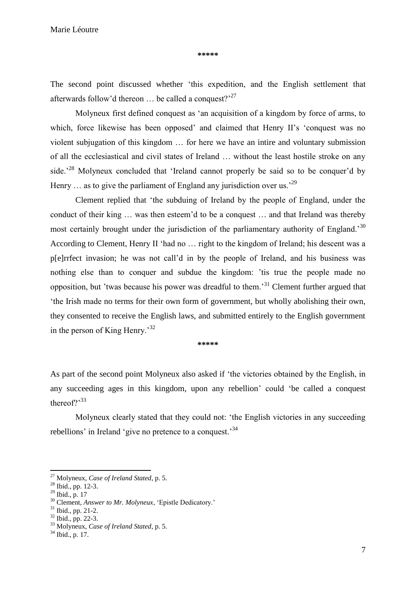Marie Léoutre

**\*\*\*\*\***

The second point discussed whether 'this expedition, and the English settlement that afterwards follow'd thereon ... be called a conquest?<sup>'27</sup>

Molyneux first defined conquest as 'an acquisition of a kingdom by force of arms, to which, force likewise has been opposed' and claimed that Henry II's 'conquest was no violent subjugation of this kingdom … for here we have an intire and voluntary submission of all the ecclesiastical and civil states of Ireland … without the least hostile stroke on any side.<sup>28</sup> Molyneux concluded that 'Ireland cannot properly be said so to be conquer'd by Henry  $\ldots$  as to give the parliament of England any jurisdiction over us.<sup>29</sup>

Clement replied that 'the subduing of Ireland by the people of England, under the conduct of their king … was then esteem'd to be a conquest … and that Ireland was thereby most certainly brought under the jurisdiction of the parliamentary authority of England.<sup>30</sup> According to Clement, Henry II 'had no … right to the kingdom of Ireland; his descent was a p[e]rrfect invasion; he was not call'd in by the people of Ireland, and his business was nothing else than to conquer and subdue the kingdom: 'tis true the people made no opposition, but 'twas because his power was dreadful to them.'<sup>31</sup> Clement further argued that 'the Irish made no terms for their own form of government, but wholly abolishing their own, they consented to receive the English laws, and submitted entirely to the English government in the person of King Henry.'<sup>32</sup>

**\*\*\*\*\***

As part of the second point Molyneux also asked if 'the victories obtained by the English, in any succeeding ages in this kingdom, upon any rebellion' could 'be called a conquest thereof?'<sup>33</sup>

Molyneux clearly stated that they could not: 'the English victories in any succeeding rebellions' in Ireland 'give no pretence to a conquest.<sup>34</sup>

<sup>27</sup> Molyneux, *Case of Ireland Stated*, p. 5.

<sup>28</sup> Ibid., pp. 12-3.

<sup>29</sup> Ibid., p. 17

<sup>30</sup> Clement, *Answer to Mr. Molyneux*, 'Epistle Dedicatory.'

<sup>31</sup> Ibid., pp. 21-2.

<sup>32</sup> Ibid., pp. 22-3.

<sup>33</sup> Molyneux, *Case of Ireland Stated*, p. 5.

 $34$  Ibid., p. 17.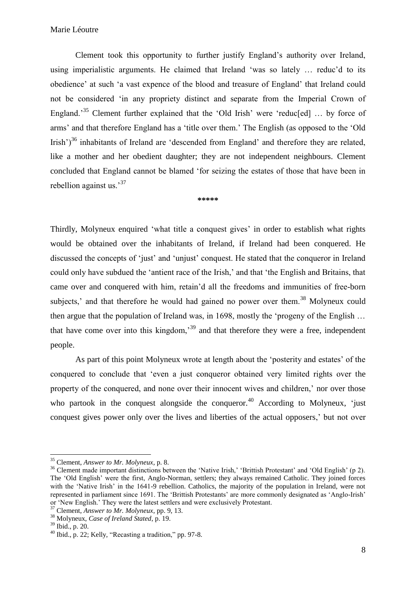Clement took this opportunity to further justify England's authority over Ireland, using imperialistic arguments. He claimed that Ireland 'was so lately … reduc'd to its obedience' at such 'a vast expence of the blood and treasure of England' that Ireland could not be considered 'in any propriety distinct and separate from the Imperial Crown of England.<sup>35</sup> Clement further explained that the 'Old Irish' were 'reduc[ed] ... by force of arms' and that therefore England has a 'title over them.' The English (as opposed to the 'Old Irish' $j^{36}$  inhabitants of Ireland are 'descended from England' and therefore they are related, like a mother and her obedient daughter; they are not independent neighbours. Clement concluded that England cannot be blamed 'for seizing the estates of those that have been in rebellion against us.<sup>37</sup>

**\*\*\*\*\***

Thirdly, Molyneux enquired 'what title a conquest gives' in order to establish what rights would be obtained over the inhabitants of Ireland, if Ireland had been conquered. He discussed the concepts of 'just' and 'unjust' conquest. He stated that the conqueror in Ireland could only have subdued the 'antient race of the Irish,' and that 'the English and Britains, that came over and conquered with him, retain'd all the freedoms and immunities of free-born subjects,' and that therefore he would had gained no power over them.<sup>38</sup> Molyneux could then argue that the population of Ireland was, in 1698, mostly the 'progeny of the English … that have come over into this kingdom,'<sup>39</sup> and that therefore they were a free, independent people.

As part of this point Molyneux wrote at length about the 'posterity and estates' of the conquered to conclude that 'even a just conqueror obtained very limited rights over the property of the conquered, and none over their innocent wives and children,' nor over those who partook in the conquest alongside the conqueror.<sup>40</sup> According to Molyneux, 'just conquest gives power only over the lives and liberties of the actual opposers,' but not over

<sup>35</sup> Clement, *Answer to Mr. Molyneux*, p. 8.

<sup>&</sup>lt;sup>36</sup> Clement made important distinctions between the 'Native Irish,' 'Brittish Protestant' and 'Old English' (p 2). The 'Old English' were the first, Anglo-Norman, settlers; they always remained Catholic. They joined forces with the 'Native Irish' in the 1641-9 rebellion. Catholics, the majority of the population in Ireland, were not represented in parliament since 1691. The 'Brittish Protestants' are more commonly designated as 'Anglo-Irish' or 'New English.' They were the latest settlers and were exclusively Protestant.

<sup>37</sup> Clement, *Answer to Mr. Molyneux*, pp. 9, 13.

<sup>38</sup> Molyneux, *Case of Ireland Stated*, p. 19.

<sup>39</sup> Ibid., p. 20.

 $^{40}$  Ibid., p. 22; Kelly, "Recasting a tradition," pp. 97-8.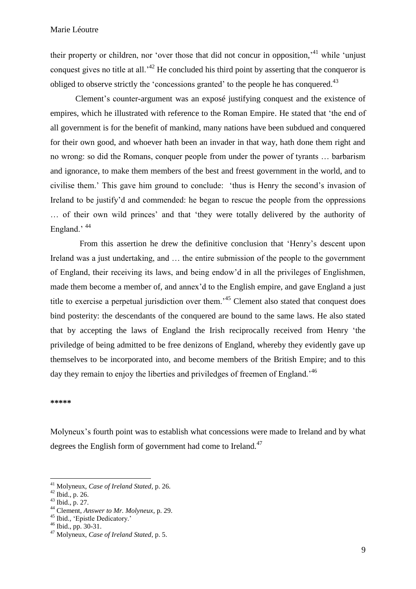Marie Léoutre

their property or children, nor 'over those that did not concur in opposition,<sup>41</sup> while 'unjust conquest gives no title at all.'<sup>42</sup> He concluded his third point by asserting that the conqueror is obliged to observe strictly the 'concessions granted' to the people he has conquered.<sup>43</sup>

 Clement's counter-argument was an exposé justifying conquest and the existence of empires, which he illustrated with reference to the Roman Empire. He stated that 'the end of all government is for the benefit of mankind, many nations have been subdued and conquered for their own good, and whoever hath been an invader in that way, hath done them right and no wrong: so did the Romans, conquer people from under the power of tyrants … barbarism and ignorance, to make them members of the best and freest government in the world, and to civilise them.' This gave him ground to conclude: 'thus is Henry the second's invasion of Ireland to be justify'd and commended: he began to rescue the people from the oppressions … of their own wild princes' and that 'they were totally delivered by the authority of England.<sup>'44</sup>

 From this assertion he drew the definitive conclusion that 'Henry's descent upon Ireland was a just undertaking, and … the entire submission of the people to the government of England, their receiving its laws, and being endow'd in all the privileges of Englishmen, made them become a member of, and annex'd to the English empire, and gave England a just title to exercise a perpetual jurisdiction over them.'<sup>45</sup> Clement also stated that conquest does bind posterity: the descendants of the conquered are bound to the same laws. He also stated that by accepting the laws of England the Irish reciprocally received from Henry 'the priviledge of being admitted to be free denizons of England, whereby they evidently gave up themselves to be incorporated into, and become members of the British Empire; and to this day they remain to enjoy the liberties and priviledges of freemen of England.<sup>146</sup>

#### **\*\*\*\*\***

Molyneux's fourth point was to establish what concessions were made to Ireland and by what degrees the English form of government had come to Ireland.<sup>47</sup>

<sup>41</sup> Molyneux, *Case of Ireland Stated*, p. 26.

<sup>42</sup> Ibid., p. 26.

<sup>43</sup> Ibid., p. 27.

<sup>44</sup> Clement, *Answer to Mr. Molyneux*, p. 29.

<sup>&</sup>lt;sup>45</sup> Ibid., 'Epistle Dedicatory.'

<sup>46</sup> Ibid., pp. 30-31.

<sup>47</sup> Molyneux, *Case of Ireland Stated*, p. 5.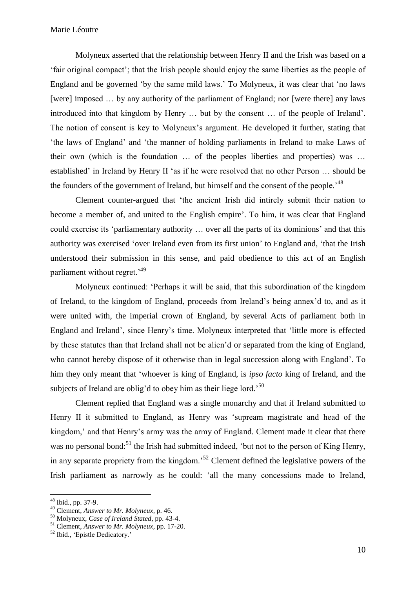Molyneux asserted that the relationship between Henry II and the Irish was based on a 'fair original compact'; that the Irish people should enjoy the same liberties as the people of England and be governed 'by the same mild laws.' To Molyneux, it was clear that 'no laws [were] imposed ... by any authority of the parliament of England; nor [were there] any laws introduced into that kingdom by Henry … but by the consent … of the people of Ireland'. The notion of consent is key to Molyneux's argument. He developed it further, stating that 'the laws of England' and 'the manner of holding parliaments in Ireland to make Laws of their own (which is the foundation … of the peoples liberties and properties) was … established' in Ireland by Henry II 'as if he were resolved that no other Person … should be the founders of the government of Ireland, but himself and the consent of the people.<sup>48</sup>

Clement counter-argued that 'the ancient Irish did intirely submit their nation to become a member of, and united to the English empire'. To him, it was clear that England could exercise its 'parliamentary authority … over all the parts of its dominions' and that this authority was exercised 'over Ireland even from its first union' to England and, 'that the Irish understood their submission in this sense, and paid obedience to this act of an English parliament without regret.<sup>49</sup>

Molyneux continued: 'Perhaps it will be said, that this subordination of the kingdom of Ireland, to the kingdom of England, proceeds from Ireland's being annex'd to, and as it were united with, the imperial crown of England, by several Acts of parliament both in England and Ireland', since Henry's time. Molyneux interpreted that 'little more is effected by these statutes than that Ireland shall not be alien'd or separated from the king of England, who cannot hereby dispose of it otherwise than in legal succession along with England'. To him they only meant that 'whoever is king of England, is *ipso facto* king of Ireland, and the subjects of Ireland are oblig'd to obey him as their liege lord.<sup>50</sup>

Clement replied that England was a single monarchy and that if Ireland submitted to Henry II it submitted to England, as Henry was 'supream magistrate and head of the kingdom,' and that Henry's army was the army of England. Clement made it clear that there was no personal bond:<sup>51</sup> the Irish had submitted indeed, 'but not to the person of King Henry, in any separate propriety from the kingdom.<sup>52</sup> Clement defined the legislative powers of the Irish parliament as narrowly as he could: 'all the many concessions made to Ireland,

<sup>&</sup>lt;sup>48</sup> Ibid., pp. 37-9.

<sup>49</sup> Clement, *Answer to Mr. Molyneux*, p. 46.

<sup>50</sup> Molyneux, *Case of Ireland Stated*, pp. 43-4.

<sup>51</sup> Clement, *Answer to Mr. Molyneux*, pp. 17-20.

<sup>52</sup> Ibid., 'Epistle Dedicatory.'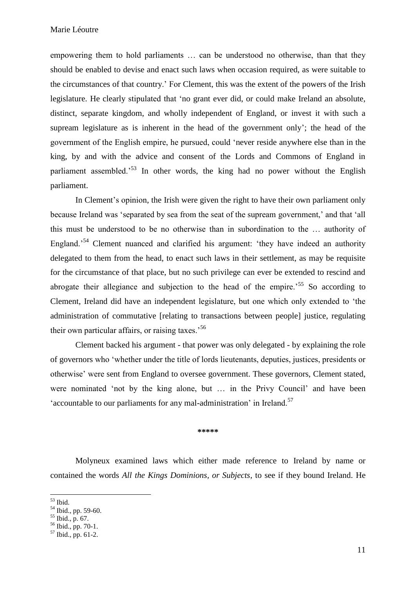empowering them to hold parliaments … can be understood no otherwise, than that they should be enabled to devise and enact such laws when occasion required, as were suitable to the circumstances of that country.' For Clement, this was the extent of the powers of the Irish legislature. He clearly stipulated that 'no grant ever did, or could make Ireland an absolute, distinct, separate kingdom, and wholly independent of England, or invest it with such a supream legislature as is inherent in the head of the government only'; the head of the government of the English empire, he pursued, could 'never reside anywhere else than in the king, by and with the advice and consent of the Lords and Commons of England in parliament assembled.<sup>53</sup> In other words, the king had no power without the English parliament.

In Clement's opinion, the Irish were given the right to have their own parliament only because Ireland was 'separated by sea from the seat of the supream government,' and that 'all this must be understood to be no otherwise than in subordination to the … authority of England.<sup>54</sup> Clement nuanced and clarified his argument: 'they have indeed an authority delegated to them from the head, to enact such laws in their settlement, as may be requisite for the circumstance of that place, but no such privilege can ever be extended to rescind and abrogate their allegiance and subjection to the head of the empire.<sup>55</sup> So according to Clement, Ireland did have an independent legislature, but one which only extended to 'the administration of commutative [relating to transactions between people] justice, regulating their own particular affairs, or raising taxes.'<sup>56</sup>

Clement backed his argument - that power was only delegated - by explaining the role of governors who 'whether under the title of lords lieutenants, deputies, justices, presidents or otherwise' were sent from England to oversee government. These governors, Clement stated, were nominated 'not by the king alone, but … in the Privy Council' and have been 'accountable to our parliaments for any mal-administration' in Ireland.<sup>57</sup>

**\*\*\*\*\***

Molyneux examined laws which either made reference to Ireland by name or contained the words *All the Kings Dominions, or Subjects*, to see if they bound Ireland. He

**.** 

 $^{55}$  Ibid., p. 67.

<sup>53</sup> Ibid.

<sup>54</sup> Ibid., pp. 59-60.

 $^{56}$  Ibid., pp. 70-1.

 $57$  Ibid., pp. 61-2.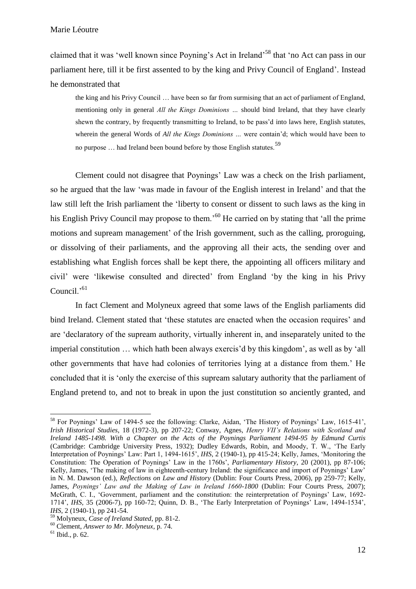claimed that it was 'well known since Poyning's Act in Ireland' <sup>58</sup> that 'no Act can pass in our parliament here, till it be first assented to by the king and Privy Council of England'. Instead he demonstrated that

the king and his Privy Council … have been so far from surmising that an act of parliament of England, mentioning only in general *All the Kings Dominions …* should bind Ireland, that they have clearly shewn the contrary, by frequently transmitting to Ireland, to be pass'd into laws here, English statutes, wherein the general Words of *All the Kings Dominions …* were contain'd; which would have been to no purpose ... had Ireland been bound before by those English statutes.<sup>59</sup>

Clement could not disagree that Poynings' Law was a check on the Irish parliament, so he argued that the law 'was made in favour of the English interest in Ireland' and that the law still left the Irish parliament the 'liberty to consent or dissent to such laws as the king in his English Privy Council may propose to them.<sup>50</sup> He carried on by stating that 'all the prime motions and supream management' of the Irish government, such as the calling, proroguing, or dissolving of their parliaments, and the approving all their acts, the sending over and establishing what English forces shall be kept there, the appointing all officers military and civil' were 'likewise consulted and directed' from England 'by the king in his Privy Council.'<sup>61</sup>

In fact Clement and Molyneux agreed that some laws of the English parliaments did bind Ireland. Clement stated that 'these statutes are enacted when the occasion requires' and are 'declaratory of the supream authority, virtually inherent in, and inseparately united to the imperial constitution … which hath been always exercis'd by this kingdom', as well as by 'all other governments that have had colonies of territories lying at a distance from them.' He concluded that it is 'only the exercise of this supream salutary authority that the parliament of England pretend to, and not to break in upon the just constitution so anciently granted, and

1

<sup>&</sup>lt;sup>58</sup> For Poynings' Law of 1494-5 see the following: Clarke, Aidan, 'The History of Poynings' Law, 1615-41', *Irish Historical Studies*, 18 (1972-3), pp 207-22; Conway, Agnes, *Henry VII's Relations with Scotland and Ireland 1485-1498. With a Chapter on the Acts of the Poynings Parliament 1494-95 by Edmund Curtis* (Cambridge: Cambridge University Press, 1932); Dudley Edwards, Robin, and Moody, T. W., 'The Early Interpretation of Poynings' Law: Part 1, 1494-1615', *IHS*, 2 (1940-1), pp 415-24; Kelly, James, 'Monitoring the Constitution: The Operation of Poynings' Law in the 1760s', *Parliamentary History*, 20 (2001), pp 87-106; Kelly, James, 'The making of law in eighteenth-century Ireland: the significance and import of Poynings' Law' in N. M. Dawson (ed.), *Reflections on Law and History* (Dublin: Four Courts Press, 2006), pp 259-77; Kelly, James, *Poynings' Law and the Making of Law in Ireland 1660-1800* (Dublin: Four Courts Press, 2007); McGrath, C. I., 'Government, parliament and the constitution: the reinterpretation of Poynings' Law, 1692-1714', *IHS*, 35 (2006-7), pp 160-72; Quinn, D. B., 'The Early Interpretation of Poynings' Law, 1494-1534', *IHS*, 2 (1940-1), pp 241-54.

<sup>59</sup> Molyneux, *Case of Ireland Stated*, pp. 81-2.

<sup>60</sup> Clement, *Answer to Mr. Molyneux*, p. 74.

 $61$  Ibid., p. 62.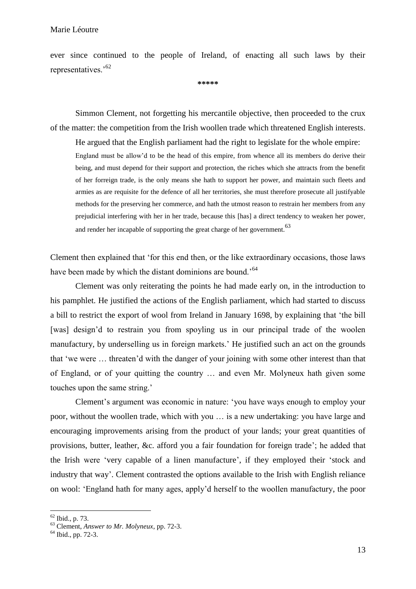ever since continued to the people of Ireland, of enacting all such laws by their representatives.'<sup>62</sup>

**\*\*\*\*\***

Simmon Clement, not forgetting his mercantile objective, then proceeded to the crux of the matter: the competition from the Irish woollen trade which threatened English interests.

He argued that the English parliament had the right to legislate for the whole empire: England must be allow'd to be the head of this empire, from whence all its members do derive their being, and must depend for their support and protection, the riches which she attracts from the benefit of her forreign trade, is the only means she hath to support her power, and maintain such fleets and armies as are requisite for the defence of all her territories, she must therefore prosecute all justifyable methods for the preserving her commerce, and hath the utmost reason to restrain her members from any prejudicial interfering with her in her trade, because this [has] a direct tendency to weaken her power, and render her incapable of supporting the great charge of her government.<sup>63</sup>

Clement then explained that 'for this end then, or the like extraordinary occasions, those laws have been made by which the distant dominions are bound.<sup>64</sup>

Clement was only reiterating the points he had made early on, in the introduction to his pamphlet. He justified the actions of the English parliament, which had started to discuss a bill to restrict the export of wool from Ireland in January 1698, by explaining that 'the bill [was] design'd to restrain you from spoyling us in our principal trade of the woolen manufactury, by underselling us in foreign markets.' He justified such an act on the grounds that 'we were … threaten'd with the danger of your joining with some other interest than that of England, or of your quitting the country … and even Mr. Molyneux hath given some touches upon the same string.'

Clement's argument was economic in nature: 'you have ways enough to employ your poor, without the woollen trade, which with you … is a new undertaking: you have large and encouraging improvements arising from the product of your lands; your great quantities of provisions, butter, leather, &c. afford you a fair foundation for foreign trade'; he added that the Irish were 'very capable of a linen manufacture', if they employed their 'stock and industry that way'. Clement contrasted the options available to the Irish with English reliance on wool: 'England hath for many ages, apply'd herself to the woollen manufactury, the poor

1

 $62$  Ibid., p. 73.

<sup>63</sup> Clement, *Answer to Mr. Molyneux*, pp. 72-3.

 $64$  Ibid., pp. 72-3.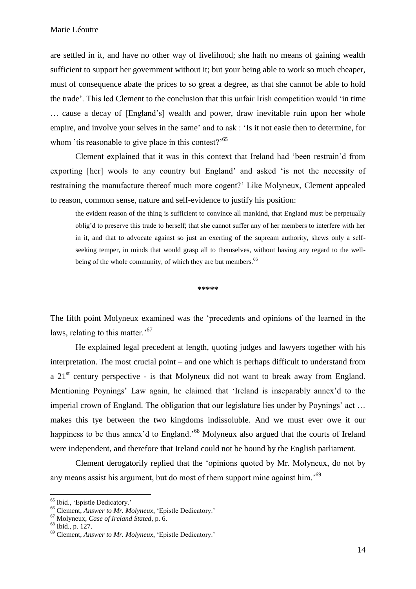are settled in it, and have no other way of livelihood; she hath no means of gaining wealth sufficient to support her government without it; but your being able to work so much cheaper, must of consequence abate the prices to so great a degree, as that she cannot be able to hold the trade'. This led Clement to the conclusion that this unfair Irish competition would 'in time … cause a decay of [England's] wealth and power, draw inevitable ruin upon her whole empire, and involve your selves in the same' and to ask : 'Is it not easie then to determine, for whom 'tis reasonable to give place in this contest?'<sup>65</sup>

Clement explained that it was in this context that Ireland had 'been restrain'd from exporting [her] wools to any country but England' and asked 'is not the necessity of restraining the manufacture thereof much more cogent?' Like Molyneux, Clement appealed to reason, common sense, nature and self-evidence to justify his position:

the evident reason of the thing is sufficient to convince all mankind, that England must be perpetually oblig'd to preserve this trade to herself; that she cannot suffer any of her members to interfere with her in it, and that to advocate against so just an exerting of the supream authority, shews only a selfseeking temper, in minds that would grasp all to themselves, without having any regard to the wellbeing of the whole community, of which they are but members.<sup>66</sup>

**\*\*\*\*\***

The fifth point Molyneux examined was the 'precedents and opinions of the learned in the laws, relating to this matter.<sup>67</sup>

He explained legal precedent at length, quoting judges and lawyers together with his interpretation. The most crucial point – and one which is perhaps difficult to understand from a  $21<sup>st</sup>$  century perspective - is that Molyneux did not want to break away from England. Mentioning Poynings' Law again, he claimed that 'Ireland is inseparably annex'd to the imperial crown of England. The obligation that our legislature lies under by Poynings' act … makes this tye between the two kingdoms indissoluble. And we must ever owe it our happiness to be thus annex'd to England.<sup>68</sup> Molyneux also argued that the courts of Ireland were independent, and therefore that Ireland could not be bound by the English parliament.

Clement derogatorily replied that the 'opinions quoted by Mr. Molyneux, do not by any means assist his argument, but do most of them support mine against him.<sup>59</sup>

<sup>&</sup>lt;sup>65</sup> Ibid., 'Epistle Dedicatory.'

<sup>66</sup> Clement, *Answer to Mr. Molyneux*, 'Epistle Dedicatory.'

<sup>67</sup> Molyneux, *Case of Ireland Stated*, p. 6.

<sup>68</sup> Ibid., p. 127.

<sup>69</sup> Clement, *Answer to Mr. Molyneux*, 'Epistle Dedicatory.'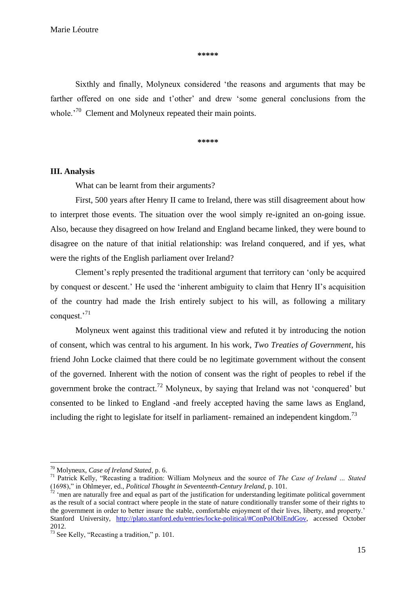**\*\*\*\*\***

Sixthly and finally, Molyneux considered 'the reasons and arguments that may be farther offered on one side and t'other' and drew 'some general conclusions from the whole.<sup>70</sup> Clement and Molyneux repeated their main points.

**\*\*\*\*\***

#### **III. Analysis**

What can be learnt from their arguments?

First, 500 years after Henry II came to Ireland, there was still disagreement about how to interpret those events. The situation over the wool simply re-ignited an on-going issue. Also, because they disagreed on how Ireland and England became linked, they were bound to disagree on the nature of that initial relationship: was Ireland conquered, and if yes, what were the rights of the English parliament over Ireland?

Clement's reply presented the traditional argument that territory can 'only be acquired by conquest or descent.' He used the 'inherent ambiguity to claim that Henry II's acquisition of the country had made the Irish entirely subject to his will, as following a military conquest.'<sup>71</sup>

Molyneux went against this traditional view and refuted it by introducing the notion of consent, which was central to his argument. In his work, *Two Treaties of Government*, his friend John Locke claimed that there could be no legitimate government without the consent of the governed. Inherent with the notion of consent was the right of peoples to rebel if the government broke the contract.<sup>72</sup> Molyneux, by saying that Ireland was not 'conquered' but consented to be linked to England -and freely accepted having the same laws as England, including the right to legislate for itself in parliament- remained an independent kingdom.<sup>73</sup>

 $\overline{\phantom{a}}$ 

<sup>70</sup> Molyneux, *Case of Ireland Stated*, p. 6.

<sup>71</sup> Patrick Kelly, "Recasting a tradition: William Molyneux and the source of *The Case of Ireland … Stated*  (1698)," in Ohlmeyer, ed., *Political Thought in Seventeenth-Century Ireland*, p. 101.

 $72$  'men are naturally free and equal as part of the justification for understanding legitimate political government as the result of a social contract where people in the state of nature conditionally transfer some of their rights to the government in order to better insure the stable, comfortable enjoyment of their lives, liberty, and property.' Stanford University, [http://plato.stanford.edu/entries/locke-political/#ConPolOblEndGov,](http://plato.stanford.edu/entries/locke-political/#ConPolOblEndGov) accessed October 2012.

 $73$  See Kelly, "Recasting a tradition," p. 101.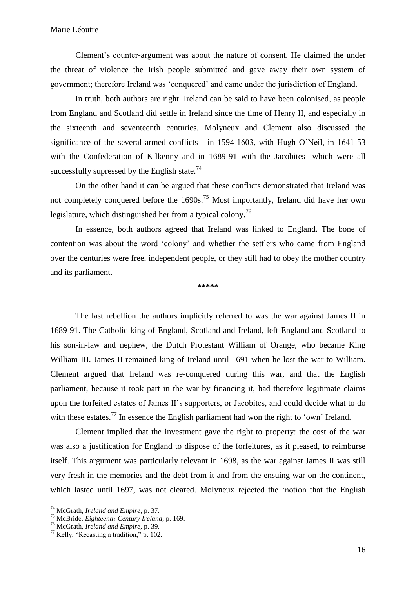Clement's counter-argument was about the nature of consent. He claimed the under the threat of violence the Irish people submitted and gave away their own system of government; therefore Ireland was 'conquered' and came under the jurisdiction of England.

In truth, both authors are right. Ireland can be said to have been colonised, as people from England and Scotland did settle in Ireland since the time of Henry II, and especially in the sixteenth and seventeenth centuries. Molyneux and Clement also discussed the significance of the several armed conflicts - in 1594-1603, with Hugh O'Neil, in 1641-53 with the Confederation of Kilkenny and in 1689-91 with the Jacobites- which were all successfully supressed by the English state.<sup>74</sup>

On the other hand it can be argued that these conflicts demonstrated that Ireland was not completely conquered before the  $1690s$ .<sup>75</sup> Most importantly, Ireland did have her own legislature, which distinguished her from a typical colony.<sup>76</sup>

In essence, both authors agreed that Ireland was linked to England. The bone of contention was about the word 'colony' and whether the settlers who came from England over the centuries were free, independent people, or they still had to obey the mother country and its parliament.

**\*\*\*\*\***

The last rebellion the authors implicitly referred to was the war against James II in 1689-91. The Catholic king of England, Scotland and Ireland, left England and Scotland to his son-in-law and nephew, the Dutch Protestant William of Orange, who became King William III. James II remained king of Ireland until 1691 when he lost the war to William. Clement argued that Ireland was re-conquered during this war, and that the English parliament, because it took part in the war by financing it, had therefore legitimate claims upon the forfeited estates of James II's supporters, or Jacobites, and could decide what to do with these estates.<sup>77</sup> In essence the English parliament had won the right to 'own' Ireland.

Clement implied that the investment gave the right to property: the cost of the war was also a justification for England to dispose of the forfeitures, as it pleased, to reimburse itself. This argument was particularly relevant in 1698, as the war against James II was still very fresh in the memories and the debt from it and from the ensuing war on the continent, which lasted until 1697, was not cleared. Molyneux rejected the 'notion that the English

<sup>74</sup> McGrath, *Ireland and Empire*, p. 37.

<sup>75</sup> McBride, *Eighteenth-Century Ireland*, p. 169.

<sup>76</sup> McGrath, *Ireland and Empire*, p. 39.

 $77$  Kelly, "Recasting a tradition," p. 102.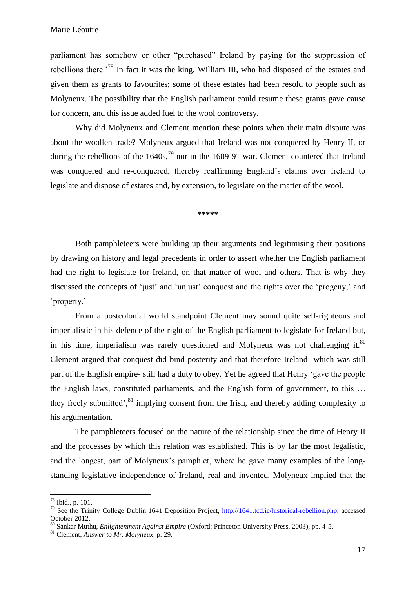parliament has somehow or other "purchased" Ireland by paying for the suppression of rebellions there.'<sup>78</sup> In fact it was the king, William III, who had disposed of the estates and given them as grants to favourites; some of these estates had been resold to people such as Molyneux. The possibility that the English parliament could resume these grants gave cause for concern, and this issue added fuel to the wool controversy.

Why did Molyneux and Clement mention these points when their main dispute was about the woollen trade? Molyneux argued that Ireland was not conquered by Henry II, or during the rebellions of the  $1640s$ ,<sup>79</sup> nor in the 1689-91 war. Clement countered that Ireland was conquered and re-conquered, thereby reaffirming England's claims over Ireland to legislate and dispose of estates and, by extension, to legislate on the matter of the wool.

**\*\*\*\*\***

Both pamphleteers were building up their arguments and legitimising their positions by drawing on history and legal precedents in order to assert whether the English parliament had the right to legislate for Ireland, on that matter of wool and others. That is why they discussed the concepts of 'just' and 'unjust' conquest and the rights over the 'progeny,' and 'property.'

From a postcolonial world standpoint Clement may sound quite self-righteous and imperialistic in his defence of the right of the English parliament to legislate for Ireland but, in his time, imperialism was rarely questioned and Molyneux was not challenging it. $80$ Clement argued that conquest did bind posterity and that therefore Ireland -which was still part of the English empire- still had a duty to obey. Yet he agreed that Henry 'gave the people the English laws, constituted parliaments, and the English form of government, to this … they freely submitted', <sup>81</sup> implying consent from the Irish, and thereby adding complexity to his argumentation.

The pamphleteers focused on the nature of the relationship since the time of Henry II and the processes by which this relation was established. This is by far the most legalistic, and the longest, part of Molyneux's pamphlet, where he gave many examples of the longstanding legislative independence of Ireland, real and invented. Molyneux implied that the

<sup>78</sup> Ibid., p. 101.

<sup>&</sup>lt;sup>79</sup> See the Trinity College Dublin 1641 Deposition Project, [http://1641.tcd.ie/historical-rebellion.php,](http://1641.tcd.ie/historical-rebellion.php) accessed October 2012.

<sup>80</sup> Sankar Muthu, *Enlightenment Against Empire* (Oxford: Princeton University Press, 2003), pp. 4-5.

<sup>81</sup> Clement, *Answer to Mr. Molyneux*, p. 29.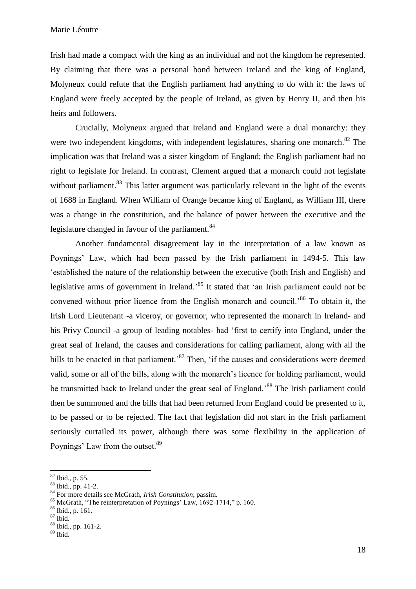Irish had made a compact with the king as an individual and not the kingdom he represented. By claiming that there was a personal bond between Ireland and the king of England, Molyneux could refute that the English parliament had anything to do with it: the laws of England were freely accepted by the people of Ireland, as given by Henry II, and then his heirs and followers.

Crucially, Molyneux argued that Ireland and England were a dual monarchy: they were two independent kingdoms, with independent legislatures, sharing one monarch.<sup>82</sup> The implication was that Ireland was a sister kingdom of England; the English parliament had no right to legislate for Ireland. In contrast, Clement argued that a monarch could not legislate without parliament.<sup>83</sup> This latter argument was particularly relevant in the light of the events of 1688 in England. When William of Orange became king of England, as William III, there was a change in the constitution, and the balance of power between the executive and the legislature changed in favour of the parliament.<sup>84</sup>

Another fundamental disagreement lay in the interpretation of a law known as Poynings' Law, which had been passed by the Irish parliament in 1494-5. This law 'established the nature of the relationship between the executive (both Irish and English) and legislative arms of government in Ireland.<sup>85</sup> It stated that 'an Irish parliament could not be convened without prior licence from the English monarch and council.<sup>86</sup> To obtain it, the Irish Lord Lieutenant -a viceroy, or governor, who represented the monarch in Ireland- and his Privy Council -a group of leading notables- had 'first to certify into England, under the great seal of Ireland, the causes and considerations for calling parliament, along with all the bills to be enacted in that parliament.<sup>87</sup> Then, 'if the causes and considerations were deemed valid, some or all of the bills, along with the monarch's licence for holding parliament, would be transmitted back to Ireland under the great seal of England.<sup>88</sup> The Irish parliament could then be summoned and the bills that had been returned from England could be presented to it, to be passed or to be rejected. The fact that legislation did not start in the Irish parliament seriously curtailed its power, although there was some flexibility in the application of Poynings' Law from the outset.<sup>89</sup>

**<sup>.</sup>**  $82$  Ibid., p. 55.

<sup>83</sup> Ibid., pp. 41-2.

<sup>84</sup> For more details see McGrath, *Irish Constitution*, passim.

<sup>85</sup> McGrath, "The reinterpretation of Poynings' Law, 1692-1714," p. 160.

<sup>86</sup> Ibid., p. 161.

 $^{87}$  Ibid.

<sup>88</sup> Ibid., pp. 161-2.

 $89$  Ibid.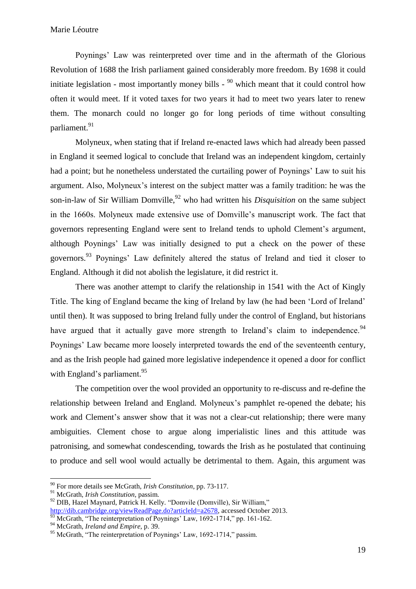Poynings' Law was reinterpreted over time and in the aftermath of the Glorious Revolution of 1688 the Irish parliament gained considerably more freedom. By 1698 it could initiate legislation - most importantly money bills -  $90$  which meant that it could control how often it would meet. If it voted taxes for two years it had to meet two years later to renew them. The monarch could no longer go for long periods of time without consulting parliament.<sup>91</sup>

Molyneux, when stating that if Ireland re-enacted laws which had already been passed in England it seemed logical to conclude that Ireland was an independent kingdom, certainly had a point; but he nonetheless understated the curtailing power of Poynings' Law to suit his argument. Also, Molyneux's interest on the subject matter was a family tradition: he was the son-in-law of Sir William Domville,<sup>92</sup> who had written his *Disquisition* on the same subject in the 1660s. Molyneux made extensive use of Domville's manuscript work. The fact that governors representing England were sent to Ireland tends to uphold Clement's argument, although Poynings' Law was initially designed to put a check on the power of these governors.<sup>93</sup> Poynings' Law definitely altered the status of Ireland and tied it closer to England. Although it did not abolish the legislature, it did restrict it.

There was another attempt to clarify the relationship in 1541 with the Act of Kingly Title. The king of England became the king of Ireland by law (he had been 'Lord of Ireland' until then). It was supposed to bring Ireland fully under the control of England, but historians have argued that it actually gave more strength to Ireland's claim to independence.<sup>94</sup> Poynings' Law became more loosely interpreted towards the end of the seventeenth century, and as the Irish people had gained more legislative independence it opened a door for conflict with England's parliament.<sup>95</sup>

The competition over the wool provided an opportunity to re-discuss and re-define the relationship between Ireland and England. Molyneux's pamphlet re-opened the debate; his work and Clement's answer show that it was not a clear-cut relationship; there were many ambiguities. Clement chose to argue along imperialistic lines and this attitude was patronising, and somewhat condescending, towards the Irish as he postulated that continuing to produce and sell wool would actually be detrimental to them. Again, this argument was

<sup>90</sup> For more details see McGrath, *Irish Constitution*, pp. 73-117.

<sup>91</sup> McGrath, *Irish Constitution*, passim.

<sup>92</sup> DIB, Hazel Maynard, Patrick H. Kelly. "Domvile (Domville), Sir William," [http://dib.cambridge.org/viewReadPage.do?articleId=a2678,](http://dib.cambridge.org/viewReadPage.do?articleId=a2678) accessed October 2013.

McGrath, "The reinterpretation of Poynings' Law, 1692-1714," pp. 161-162.

<sup>94</sup> McGrath, *Ireland and Empire*, p. 39.

<sup>&</sup>lt;sup>95</sup> McGrath, "The reinterpretation of Poynings' Law, 1692-1714," passim.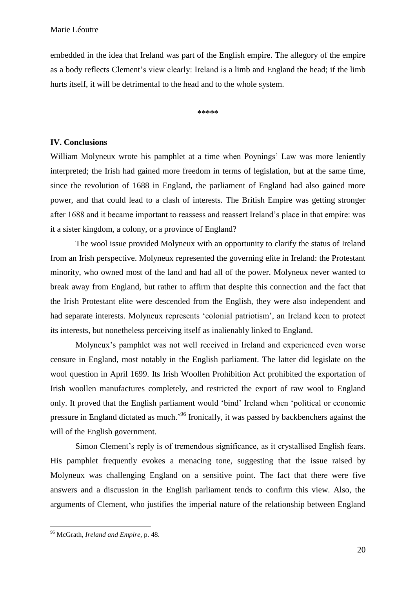embedded in the idea that Ireland was part of the English empire. The allegory of the empire as a body reflects Clement's view clearly: Ireland is a limb and England the head; if the limb hurts itself, it will be detrimental to the head and to the whole system.

**\*\*\*\*\***

#### **IV. Conclusions**

William Molyneux wrote his pamphlet at a time when Poynings' Law was more leniently interpreted; the Irish had gained more freedom in terms of legislation, but at the same time, since the revolution of 1688 in England, the parliament of England had also gained more power, and that could lead to a clash of interests. The British Empire was getting stronger after 1688 and it became important to reassess and reassert Ireland's place in that empire: was it a sister kingdom, a colony, or a province of England?

The wool issue provided Molyneux with an opportunity to clarify the status of Ireland from an Irish perspective. Molyneux represented the governing elite in Ireland: the Protestant minority, who owned most of the land and had all of the power. Molyneux never wanted to break away from England, but rather to affirm that despite this connection and the fact that the Irish Protestant elite were descended from the English, they were also independent and had separate interests. Molyneux represents 'colonial patriotism', an Ireland keen to protect its interests, but nonetheless perceiving itself as inalienably linked to England.

Molyneux's pamphlet was not well received in Ireland and experienced even worse censure in England, most notably in the English parliament. The latter did legislate on the wool question in April 1699. Its Irish Woollen Prohibition Act prohibited the exportation of Irish woollen manufactures completely, and restricted the export of raw wool to England only. It proved that the English parliament would 'bind' Ireland when 'political or economic pressure in England dictated as much.'<sup>96</sup> Ironically, it was passed by backbenchers against the will of the English government.

Simon Clement's reply is of tremendous significance, as it crystallised English fears. His pamphlet frequently evokes a menacing tone, suggesting that the issue raised by Molyneux was challenging England on a sensitive point. The fact that there were five answers and a discussion in the English parliament tends to confirm this view. Also, the arguments of Clement, who justifies the imperial nature of the relationship between England

<sup>96</sup> McGrath, *Ireland and Empire*, p. 48.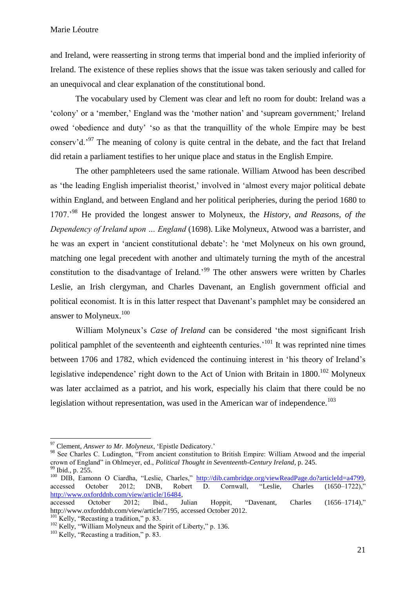and Ireland, were reasserting in strong terms that imperial bond and the implied inferiority of Ireland. The existence of these replies shows that the issue was taken seriously and called for an unequivocal and clear explanation of the constitutional bond.

The vocabulary used by Clement was clear and left no room for doubt: Ireland was a 'colony' or a 'member,' England was the 'mother nation' and 'supream government;' Ireland owed 'obedience and duty' 'so as that the tranquillity of the whole Empire may be best conserv'd.<sup>'97</sup> The meaning of colony is quite central in the debate, and the fact that Ireland did retain a parliament testifies to her unique place and status in the English Empire.

The other pamphleteers used the same rationale. William Atwood has been described as 'the leading English imperialist theorist,' involved in 'almost every major political debate within England, and between England and her political peripheries, during the period 1680 to 1707.'<sup>98</sup> He provided the longest answer to Molyneux, the *History, and Reasons, of the Dependency of Ireland upon … England* (1698). Like Molyneux, Atwood was a barrister, and he was an expert in 'ancient constitutional debate': he 'met Molyneux on his own ground, matching one legal precedent with another and ultimately turning the myth of the ancestral constitution to the disadvantage of Ireland.'<sup>99</sup> The other answers were written by Charles Leslie, an Irish clergyman, and Charles Davenant, an English government official and political economist. It is in this latter respect that Davenant's pamphlet may be considered an answer to Molyneux.<sup>100</sup>

William Molyneux's *Case of Ireland* can be considered 'the most significant Irish political pamphlet of the seventeenth and eighteenth centuries.<sup>101</sup> It was reprinted nine times between 1706 and 1782, which evidenced the continuing interest in 'his theory of Ireland's legislative independence' right down to the Act of Union with Britain in  $1800$ <sup> $102$ </sup> Molyneux was later acclaimed as a patriot, and his work, especially his claim that there could be no legislation without representation, was used in the American war of independence.<sup>103</sup>

1

<sup>97</sup> Clement, *Answer to Mr. Molyneux*, 'Epistle Dedicatory.'

<sup>98</sup> See Charles C. Ludington, "From ancient constitution to British Empire: William Atwood and the imperial crown of England" in Ohlmeyer, ed., *Political Thought in Seventeenth-Century Ireland*, p. 245. <sup>99</sup> Ibid., p. 255.

<sup>&</sup>lt;sup>100</sup> DIB, Eamonn O Ciardha, "Leslie, Charles," [http://dib.cambridge.org/viewReadPage.do?articleId=a4799,](http://dib.cambridge.org/viewReadPage.do?articleId=a4799) accessed October 2012; DNB, Robert D. Cornwall, "Leslie, Charles (1650–1722)," http://www.oxforddnb.com/view/article/16484.<br>accessed October 2012: Ibid.

accessed October 2012; Ibid., Julian Hoppit, "Davenant, Charles (1656–1714)," http://www.oxforddnb.com/view/article/7195, accessed October 2012.

 $101$  Kelly, "Recasting a tradition," p. 83.

<sup>&</sup>lt;sup>102</sup> Kelly, "William Molyneux and the Spirit of Liberty," p. 136.

<sup>&</sup>lt;sup>103</sup> Kelly, "Recasting a tradition," p. 83.